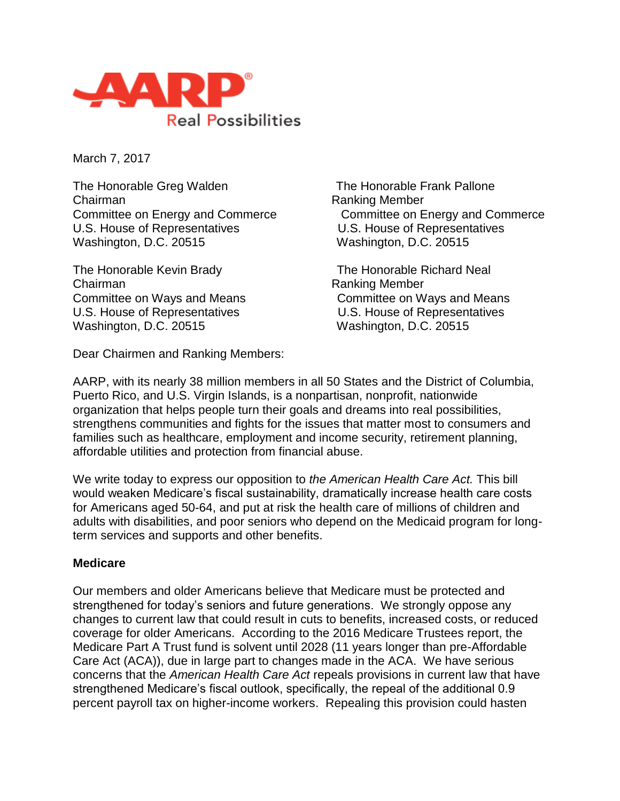

March 7, 2017

The Honorable Greg Walden The Honorable Frank Pallone Chairman **Chairman** Ranking Member U.S. House of Representatives U.S. House of Representatives Washington, D.C. 20515 Washington, D.C. 20515

The Honorable Kevin Brady The Honorable Richard Neal Chairman **Chairman** Ranking Member Washington, D.C. 20515 Washington, D.C. 20515

Dear Chairmen and Ranking Members:

Committee on Energy and Commerce Committee on Energy and Commerce

Committee on Ways and Means Committee on Ways and Means U.S. House of Representatives U.S. House of Representatives

AARP, with its nearly 38 million members in all 50 States and the District of Columbia, Puerto Rico, and U.S. Virgin Islands, is a nonpartisan, nonprofit, nationwide organization that helps people turn their goals and dreams into real possibilities, strengthens communities and fights for the issues that matter most to consumers and families such as healthcare, employment and income security, retirement planning, affordable utilities and protection from financial abuse.

We write today to express our opposition to *the American Health Care Act.* This bill would weaken Medicare's fiscal sustainability, dramatically increase health care costs for Americans aged 50-64, and put at risk the health care of millions of children and adults with disabilities, and poor seniors who depend on the Medicaid program for longterm services and supports and other benefits.

## **Medicare**

Our members and older Americans believe that Medicare must be protected and strengthened for today's seniors and future generations. We strongly oppose any changes to current law that could result in cuts to benefits, increased costs, or reduced coverage for older Americans. According to the 2016 Medicare Trustees report, the Medicare Part A Trust fund is solvent until 2028 (11 years longer than pre-Affordable Care Act (ACA)), due in large part to changes made in the ACA. We have serious concerns that the *American Health Care Act* repeals provisions in current law that have strengthened Medicare's fiscal outlook, specifically, the repeal of the additional 0.9 percent payroll tax on higher-income workers. Repealing this provision could hasten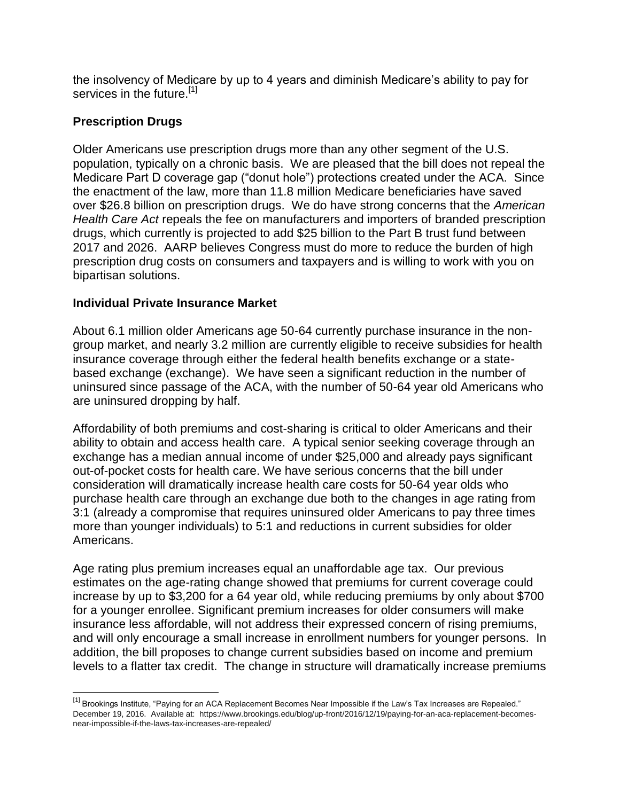the insolvency of Medicare by up to 4 years and diminish Medicare's ability to pay for services in the future.<sup>[1]</sup>

## **Prescription Drugs**

Older Americans use prescription drugs more than any other segment of the U.S. population, typically on a chronic basis. We are pleased that the bill does not repeal the Medicare Part D coverage gap ("donut hole") protections created under the ACA. Since the enactment of the law, more than 11.8 million Medicare beneficiaries have saved over \$26.8 billion on prescription drugs. We do have strong concerns that the *American Health Care Act* repeals the fee on manufacturers and importers of branded prescription drugs, which currently is projected to add \$25 billion to the Part B trust fund between 2017 and 2026. AARP believes Congress must do more to reduce the burden of high prescription drug costs on consumers and taxpayers and is willing to work with you on bipartisan solutions.

## **Individual Private Insurance Market**

About 6.1 million older Americans age 50-64 currently purchase insurance in the nongroup market, and nearly 3.2 million are currently eligible to receive subsidies for health insurance coverage through either the federal health benefits exchange or a statebased exchange (exchange). We have seen a significant reduction in the number of uninsured since passage of the ACA, with the number of 50-64 year old Americans who are uninsured dropping by half.

Affordability of both premiums and cost-sharing is critical to older Americans and their ability to obtain and access health care. A typical senior seeking coverage through an exchange has a median annual income of under \$25,000 and already pays significant out-of-pocket costs for health care. We have serious concerns that the bill under consideration will dramatically increase health care costs for 50-64 year olds who purchase health care through an exchange due both to the changes in age rating from 3:1 (already a compromise that requires uninsured older Americans to pay three times more than younger individuals) to 5:1 and reductions in current subsidies for older Americans.

Age rating plus premium increases equal an unaffordable age tax. Our previous estimates on the age-rating change showed that premiums for current coverage could increase by up to \$3,200 for a 64 year old, while reducing premiums by only about \$700 for a younger enrollee. Significant premium increases for older consumers will make insurance less affordable, will not address their expressed concern of rising premiums, and will only encourage a small increase in enrollment numbers for younger persons. In addition, the bill proposes to change current subsidies based on income and premium levels to a flatter tax credit. The change in structure will dramatically increase premiums

<sup>&</sup>lt;sup>[1]</sup> Brookings Institute, "Paying for an ACA Replacement Becomes Near Impossible if the Law's Tax Increases are Repealed." December 19, 2016. Available at: https://www.brookings.edu/blog/up-front/2016/12/19/paying-for-an-aca-replacement-becomesnear-impossible-if-the-laws-tax-increases-are-repealed/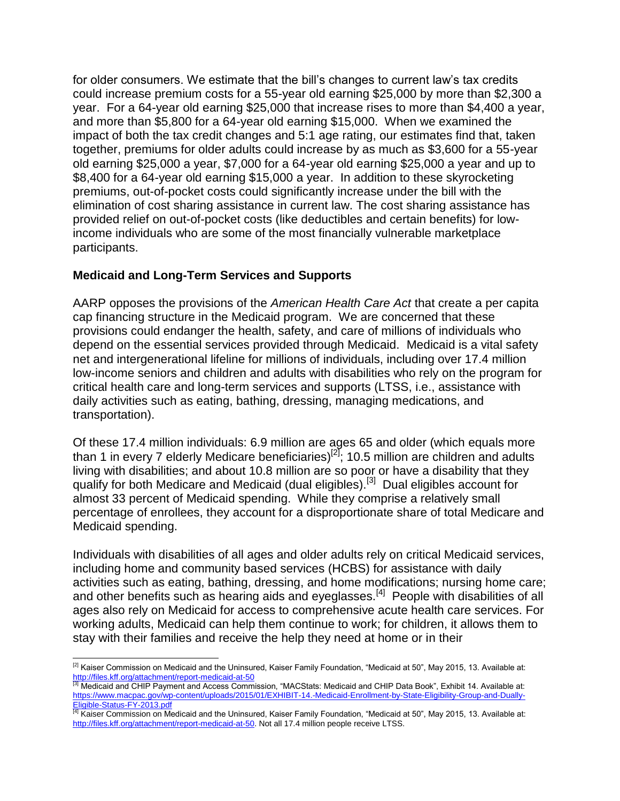for older consumers. We estimate that the bill's changes to current law's tax credits could increase premium costs for a 55-year old earning \$25,000 by more than \$2,300 a year. For a 64-year old earning \$25,000 that increase rises to more than \$4,400 a year, and more than \$5,800 for a 64-year old earning \$15,000. When we examined the impact of both the tax credit changes and 5:1 age rating, our estimates find that, taken together, premiums for older adults could increase by as much as \$3,600 for a 55-year old earning \$25,000 a year, \$7,000 for a 64-year old earning \$25,000 a year and up to \$8,400 for a 64-year old earning \$15,000 a year. In addition to these skyrocketing premiums, out-of-pocket costs could significantly increase under the bill with the elimination of cost sharing assistance in current law. The cost sharing assistance has provided relief on out-of-pocket costs (like deductibles and certain benefits) for lowincome individuals who are some of the most financially vulnerable marketplace participants.

## **Medicaid and Long-Term Services and Supports**

AARP opposes the provisions of the *American Health Care Act* that create a per capita cap financing structure in the Medicaid program. We are concerned that these provisions could endanger the health, safety, and care of millions of individuals who depend on the essential services provided through Medicaid. Medicaid is a vital safety net and intergenerational lifeline for millions of individuals, including over 17.4 million low-income seniors and children and adults with disabilities who rely on the program for critical health care and long-term services and supports (LTSS, i.e., assistance with daily activities such as eating, bathing, dressing, managing medications, and transportation).

Of these 17.4 million individuals: 6.9 million are ages 65 and older (which equals more than 1 in every 7 elderly Medicare beneficiaries)<sup>[2]</sup>; 10.5 million are children and adults living with disabilities; and about 10.8 million are so poor or have a disability that they qualify for both Medicare and Medicaid (dual eligibles).[3] Dual eligibles account for almost 33 percent of Medicaid spending. While they comprise a relatively small percentage of enrollees, they account for a disproportionate share of total Medicare and Medicaid spending.

Individuals with disabilities of all ages and older adults rely on critical Medicaid services, including home and community based services (HCBS) for assistance with daily activities such as eating, bathing, dressing, and home modifications; nursing home care; and other benefits such as hearing aids and eyeglasses.<sup>[4]</sup> People with disabilities of all ages also rely on Medicaid for access to comprehensive acute health care services. For working adults, Medicaid can help them continue to work; for children, it allows them to stay with their families and receive the help they need at home or in their

  $^{[2]}$  Kaiser Commission on Medicaid and the Uninsured, Kaiser Family Foundation, "Medicaid at 50", May 2015, 13. Available at: <http://files.kff.org/attachment/report-medicaid-at-50>

<sup>[[1]</sup> Medicaid and CHIP Payment and Access Commission, "MACStats: Medicaid and CHIP Data Book", Exhibit 14. Available at: [https://www.macpac.gov/wp-content/uploads/2015/01/EXHIBIT-14.-Medicaid-Enrollment-by-State-Eligibility-Group-and-Dually-](https://www.macpac.gov/wp-content/uploads/2015/01/EXHIBIT-14.-Medicaid-Enrollment-by-State-Eligibility-Group-and-Dually-Eligible-Status-FY-2013.pdf)

<sup>&</sup>lt;u>[Eligible-Status-FY-2013.pdf](https://www.macpac.gov/wp-content/uploads/2015/01/EXHIBIT-14.-Medicaid-Enrollment-by-State-Eligibility-Group-and-Dually-Eligible-Status-FY-2013.pdf)</u><br><sup>[4]</sup> Kaiser Commission on Medicaid and the Uninsured, Kaiser Family Foundation, "Medicaid at 50", May 2015, 13. Available at: [http://files.kff.org/attachment/report-medicaid-at-50.](http://files.kff.org/attachment/report-medicaid-at-50) Not all 17.4 million people receive LTSS.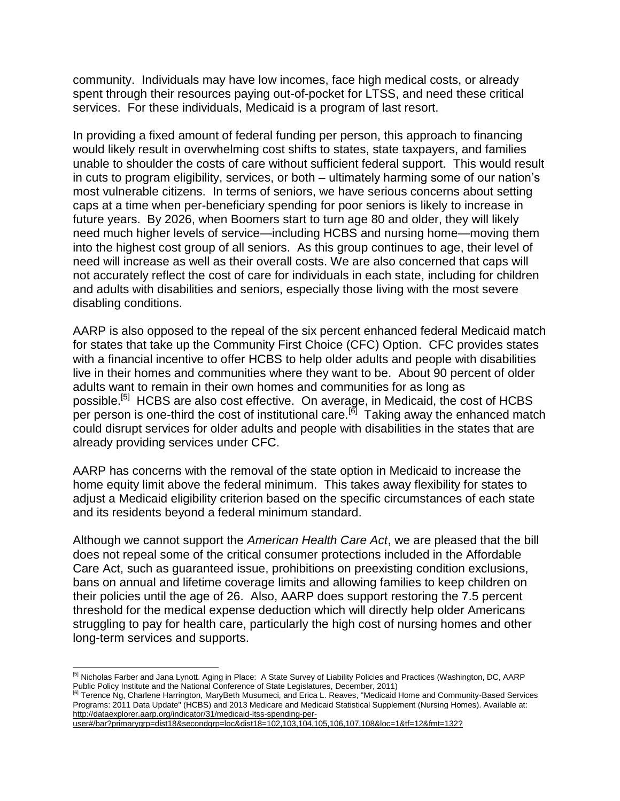community. Individuals may have low incomes, face high medical costs, or already spent through their resources paying out-of-pocket for LTSS, and need these critical services. For these individuals, Medicaid is a program of last resort.

In providing a fixed amount of federal funding per person, this approach to financing would likely result in overwhelming cost shifts to states, state taxpayers, and families unable to shoulder the costs of care without sufficient federal support. This would result in cuts to program eligibility, services, or both – ultimately harming some of our nation's most vulnerable citizens. In terms of seniors, we have serious concerns about setting caps at a time when per-beneficiary spending for poor seniors is likely to increase in future years. By 2026, when Boomers start to turn age 80 and older, they will likely need much higher levels of service—including HCBS and nursing home—moving them into the highest cost group of all seniors. As this group continues to age, their level of need will increase as well as their overall costs. We are also concerned that caps will not accurately reflect the cost of care for individuals in each state, including for children and adults with disabilities and seniors, especially those living with the most severe disabling conditions.

AARP is also opposed to the repeal of the six percent enhanced federal Medicaid match for states that take up the Community First Choice (CFC) Option. CFC provides states with a financial incentive to offer HCBS to help older adults and people with disabilities live in their homes and communities where they want to be. About 90 percent of older adults want to remain in their own homes and communities for as long as possible.<sup>[5]</sup> HCBS are also cost effective. On average, in Medicaid, the cost of HCBS per person is one-third the cost of institutional care.<sup>[6]</sup> Taking away the enhanced match could disrupt services for older adults and people with disabilities in the states that are already providing services under CFC.

AARP has concerns with the removal of the state option in Medicaid to increase the home equity limit above the federal minimum. This takes away flexibility for states to adjust a Medicaid eligibility criterion based on the specific circumstances of each state and its residents beyond a federal minimum standard.

Although we cannot support the *American Health Care Act*, we are pleased that the bill does not repeal some of the critical consumer protections included in the Affordable Care Act, such as guaranteed issue, prohibitions on preexisting condition exclusions, bans on annual and lifetime coverage limits and allowing families to keep children on their policies until the age of 26. Also, AARP does support restoring the 7.5 percent threshold for the medical expense deduction which will directly help older Americans struggling to pay for health care, particularly the high cost of nursing homes and other long-term services and supports.

 $\overline{a}$ <sup>[5]</sup> Nicholas Farber and Jana Lynott. Aging in Place: A State Survey of Liability Policies and Practices (Washington, DC, AARP Public Policy Institute and the National Conference of State Legislatures, December, 2011)

<sup>&</sup>lt;sup>[6]</sup> Terence Ng, Charlene Harrington, MaryBeth Musumeci, and Erica L. Reaves, "Medicaid Home and Community-Based Services Programs: 2011 Data Update" (HCBS) and 2013 Medicare and Medicaid Statistical Supplement (Nursing Homes). Available at: [http://dataexplorer.aarp.org/indicator/31/medicaid-ltss-spending-per-](http://dataexplorer.aarp.org/indicator/31/medicaid-ltss-spending-per-user#/bar?primarygrp=dist18&secondgrp=loc&dist18=102,103,104,105,106,107,108&loc=1&tf=12&fmt=132)

[user#/bar?primarygrp=dist18&secondgrp=loc&dist18=102,103,104,105,106,107,108&loc=1&tf=12&fmt=132?](http://dataexplorer.aarp.org/indicator/31/medicaid-ltss-spending-per-user#/bar?primarygrp=dist18&secondgrp=loc&dist18=102,103,104,105,106,107,108&loc=1&tf=12&fmt=132)